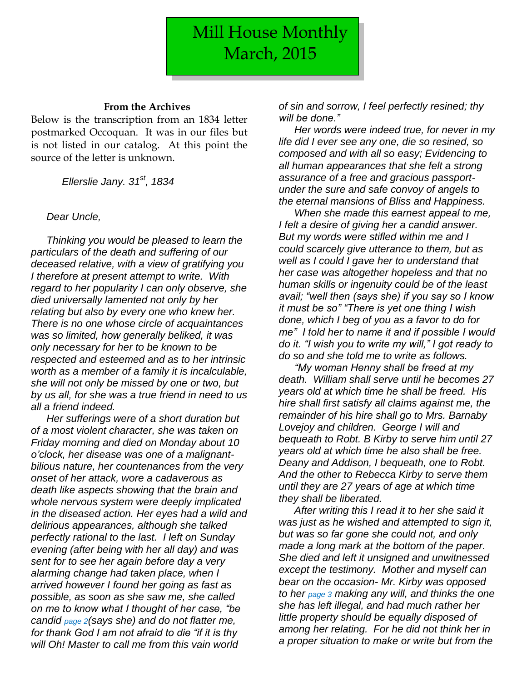## **From the Archives**

Below is the transcription from an 1834 letter postmarked Occoquan. It was in our files but is not listed in our catalog. At this point the source of the letter is unknown.

*Ellerslie Jany. 31st, 1834*

## *Dear Uncle,*

*Thinking you would be pleased to learn the particulars of the death and suffering of our deceased relative, with a view of gratifying you I therefore at present attempt to write. With regard to her popularity I can only observe, she died universally lamented not only by her relating but also by every one who knew her. There is no one whose circle of acquaintances was so limited, how generally beliked, it was only necessary for her to be known to be respected and esteemed and as to her intrinsic worth as a member of a family it is incalculable, she will not only be missed by one or two, but by us all, for she was a true friend in need to us all a friend indeed.*

*Her sufferings were of a short duration but of a most violent character, she was taken on Friday morning and died on Monday about 10 o'clock, her disease was one of a malignantbilious nature, her countenances from the very onset of her attack, wore a cadaverous as death like aspects showing that the brain and whole nervous system were deeply implicated in the diseased action. Her eyes had a wild and delirious appearances, although she talked perfectly rational to the last. I left on Sunday evening (after being with her all day) and was sent for to see her again before day a very alarming change had taken place, when I arrived however I found her going as fast as possible, as soon as she saw me, she called on me to know what I thought of her case, "be candid page 2(says she) and do not flatter me, for thank God I am not afraid to die "if it is thy will Oh! Master to call me from this vain world* 

*of sin and sorrow, I feel perfectly resined; thy will be done."*

*Her words were indeed true, for never in my life did I ever see any one, die so resined, so composed and with all so easy; Evidencing to all human appearances that she felt a strong assurance of a free and gracious passportunder the sure and safe convoy of angels to the eternal mansions of Bliss and Happiness.*

*When she made this earnest appeal to me, I felt a desire of giving her a candid answer. But my words were stifled within me and I could scarcely give utterance to them, but as well as I could I gave her to understand that her case was altogether hopeless and that no human skills or ingenuity could be of the least avail; "well then (says she) if you say so I know it must be so" "There is yet one thing I wish done, which I beg of you as a favor to do for me" I told her to name it and if possible I would do it. "I wish you to write my will," I got ready to do so and she told me to write as follows.*

*"My woman Henny shall be freed at my death. William shall serve until he becomes 27 years old at which time he shall be freed. His hire shall first satisfy all claims against me, the remainder of his hire shall go to Mrs. Barnaby Lovejoy and children. George I will and bequeath to Robt. B Kirby to serve him until 27 years old at which time he also shall be free. Deany and Addison, I bequeath, one to Robt. And the other to Rebecca Kirby to serve them until they are 27 years of age at which time they shall be liberated.*

*After writing this I read it to her she said it was just as he wished and attempted to sign it, but was so far gone she could not, and only made a long mark at the bottom of the paper. She died and left it unsigned and unwitnessed except the testimony. Mother and myself can bear on the occasion- Mr. Kirby was opposed to her page 3 making any will, and thinks the one she has left illegal, and had much rather her little property should be equally disposed of among her relating. For he did not think her in a proper situation to make or write but from the*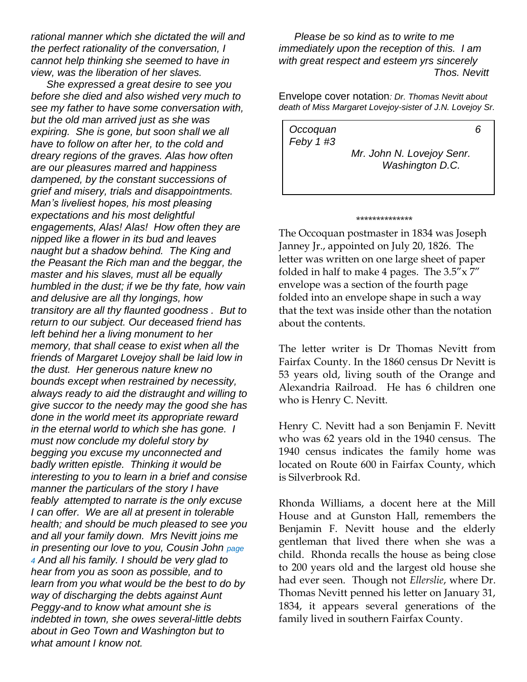*rational manner which she dictated the will and the perfect rationality of the conversation, I cannot help thinking she seemed to have in view, was the liberation of her slaves.*

*She expressed a great desire to see you before she died and also wished very much to see my father to have some conversation with, but the old man arrived just as she was expiring. She is gone, but soon shall we all have to follow on after her, to the cold and dreary regions of the graves. Alas how often are our pleasures marred and happiness dampened, by the constant successions of grief and misery, trials and disappointments. Man's liveliest hopes, his most pleasing expectations and his most delightful engagements, Alas! Alas! How often they are nipped like a flower in its bud and leaves naught but a shadow behind. The King and the Peasant the Rich man and the beggar, the master and his slaves, must all be equally humbled in the dust; if we be thy fate, how vain and delusive are all thy longings, how transitory are all thy flaunted goodness . But to return to our subject. Our deceased friend has left behind her a living monument to her memory, that shall cease to exist when all the friends of Margaret Lovejoy shall be laid low in the dust. Her generous nature knew no bounds except when restrained by necessity, always ready to aid the distraught and willing to give succor to the needy may the good she has done in the world meet its appropriate reward in the eternal world to which she has gone. I must now conclude my doleful story by begging you excuse my unconnected and badly written epistle. Thinking it would be interesting to you to learn in a brief and consise manner the particulars of the story I have feably attempted to narrate is the only excuse I can offer. We are all at present in tolerable health; and should be much pleased to see you and all your family down. Mrs Nevitt joins me in presenting our love to you, Cousin John page 4 And all his family. I should be very glad to hear from you as soon as possible, and to learn from you what would be the best to do by way of discharging the debts against Aunt Peggy-and to know what amount she is indebted in town, she owes several-little debts about in Geo Town and Washington but to what amount I know not.*

*Please be so kind as to write to me immediately upon the reception of this. I am with great respect and esteem yrs sincerely Thos. Nevitt*

Envelope cover notation*: Dr. Thomas Nevitt about death of Miss Margaret Lovejoy-sister of J.N. Lovejoy Sr.*

*Occoquan 6 Feby 1 #3 Mr. John N. Lovejoy Senr. Washington D.C.*

\*\*\*\*\*\*\*\*\*\*\*\*\*\*

The Occoquan postmaster in 1834 was Joseph Janney Jr., appointed on July 20, 1826. The letter was written on one large sheet of paper folded in half to make 4 pages. The  $3.5'' \times 7''$ envelope was a section of the fourth page folded into an envelope shape in such a way that the text was inside other than the notation about the contents.

The letter writer is Dr Thomas Nevitt from Fairfax County. In the 1860 census Dr Nevitt is 53 years old, living south of the Orange and Alexandria Railroad. He has 6 children one who is Henry C. Nevitt.

Henry C. Nevitt had a son Benjamin F. Nevitt who was 62 years old in the 1940 census. The 1940 census indicates the family home was located on Route 600 in Fairfax County, which is Silverbrook Rd.

Rhonda Williams, a docent here at the Mill House and at Gunston Hall, remembers the Benjamin F. Nevitt house and the elderly gentleman that lived there when she was a child. Rhonda recalls the house as being close to 200 years old and the largest old house she had ever seen. Though not *Ellerslie*, where Dr. Thomas Nevitt penned his letter on January 31, 1834, it appears several generations of the family lived in southern Fairfax County.